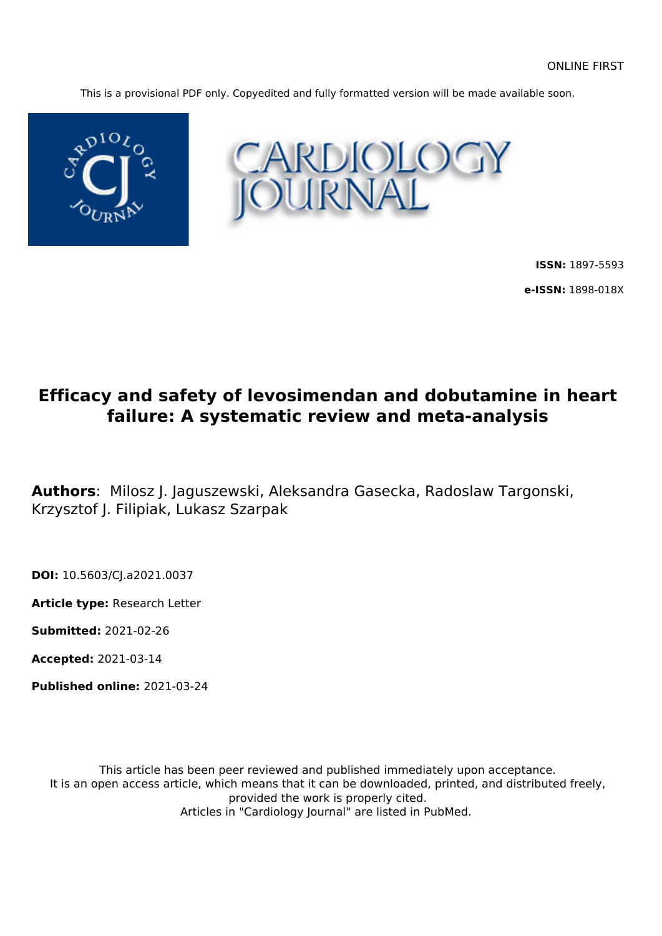This is a provisional PDF only. Copyedited and fully formatted version will be made available soon.





**ISSN:** 1897-5593 **e-ISSN:** 1898-018X

## **Efficacy and safety of levosimendan and dobutamine in heart failure: A systematic review and meta-analysis**

**Authors**: Milosz J. Jaguszewski, Aleksandra Gasecka, Radoslaw Targonski, Krzysztof J. Filipiak, Lukasz Szarpak

**DOI:** 10.5603/CJ.a2021.0037

**Article type:** Research Letter

**Submitted:** 2021-02-26

**Accepted:** 2021-03-14

**Published online:** 2021-03-24

This article has been peer reviewed and published immediately upon acceptance. It is an open access article, which means that it can be downloaded, printed, and distributed freely, provided the work is properly cited. Articles in "Cardiology Journal" are listed in PubMed.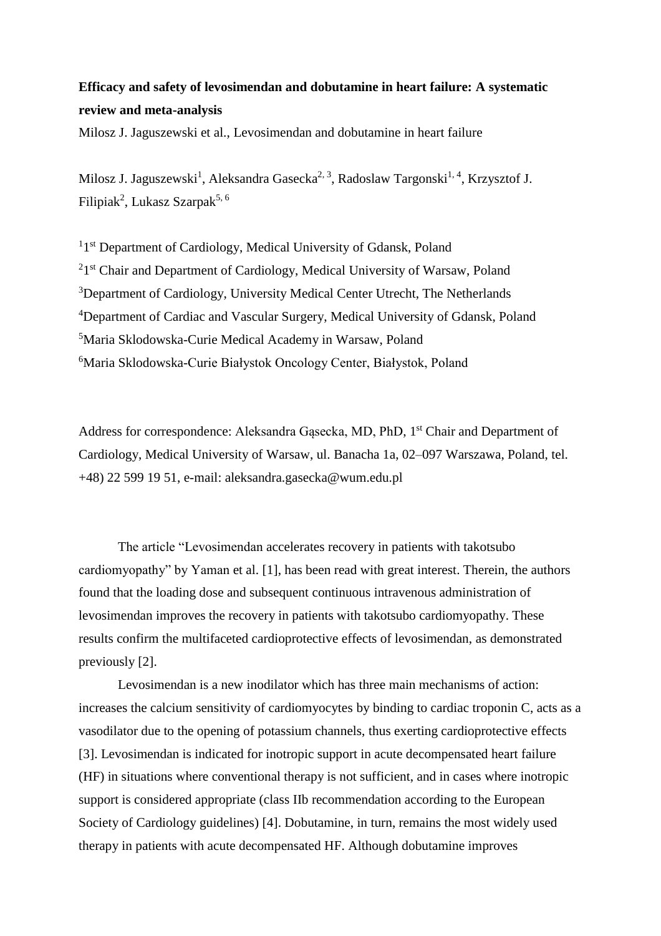## **Efficacy and safety of levosimendan and dobutamine in heart failure: A systematic review and meta-analysis**

Milosz J. Jaguszewski et al., Levosimendan and dobutamine in heart failure

Milosz J. Jaguszewski<sup>1</sup>, Aleksandra Gasecka<sup>2, 3</sup>, Radoslaw Targonski<sup>1, 4</sup>, Krzysztof J. Filipiak<sup>2</sup>, Lukasz Szarpak<sup>5, 6</sup>

<sup>1</sup>1<sup>st</sup> Department of Cardiology, Medical University of Gdansk, Poland <sup>2</sup>1<sup>st</sup> Chair and Department of Cardiology, Medical University of Warsaw, Poland <sup>3</sup>Department of Cardiology, University Medical Center Utrecht, The Netherlands <sup>4</sup>Department of Cardiac and Vascular Surgery, Medical University of Gdansk, Poland <sup>5</sup>Maria Sklodowska-Curie Medical Academy in Warsaw, Poland <sup>6</sup>Maria Sklodowska-Curie Białystok Oncology Center, Białystok, Poland

Address for correspondence: Aleksandra Gąsecka, MD, PhD, 1 st Chair and Department of Cardiology, Medical University of Warsaw, ul. Banacha 1a, 02–097 Warszawa, Poland, tel. +48) 22 599 19 51, e-mail: aleksandra.gasecka@wum.edu.pl

The article "Levosimendan accelerates recovery in patients with takotsubo cardiomyopathy" by Yaman et al. [1], has been read with great interest. Therein, the authors found that the loading dose and subsequent continuous intravenous administration of levosimendan improves the recovery in patients with takotsubo cardiomyopathy. These results confirm the multifaceted cardioprotective effects of levosimendan, as demonstrated previously [2].

Levosimendan is a new inodilator which has three main mechanisms of action: increases the calcium sensitivity of cardiomyocytes by binding to cardiac troponin C, acts as a vasodilator due to the opening of potassium channels, thus exerting cardioprotective effects [3]. Levosimendan is indicated for inotropic support in acute decompensated heart failure (HF) in situations where conventional therapy is not sufficient, and in cases where inotropic support is considered appropriate (class IIb recommendation according to the European Society of Cardiology guidelines) [4]. Dobutamine, in turn, remains the most widely used therapy in patients with acute decompensated HF. Although dobutamine improves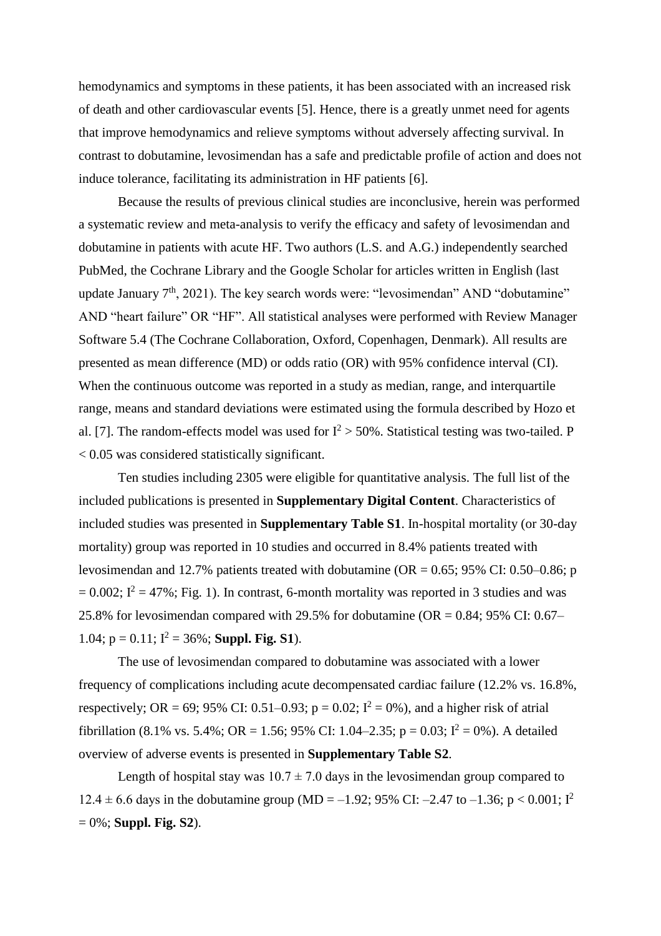hemodynamics and symptoms in these patients, it has been associated with an increased risk of death and other cardiovascular events [5]. Hence, there is a greatly unmet need for agents that improve hemodynamics and relieve symptoms without adversely affecting survival. In contrast to dobutamine, levosimendan has a safe and predictable profile of action and does not induce tolerance, facilitating its administration in HF patients [6].

Because the results of previous clinical studies are inconclusive, herein was performed a systematic review and meta-analysis to verify the efficacy and safety of levosimendan and dobutamine in patients with acute HF. Two authors (L.S. and A.G.) independently searched PubMed, the Cochrane Library and the Google Scholar for articles written in English (last update January  $7<sup>th</sup>$ , 2021). The key search words were: "levosimendan" AND "dobutamine" AND "heart failure" OR "HF". All statistical analyses were performed with Review Manager Software 5.4 (The Cochrane Collaboration, Oxford, Copenhagen, Denmark). All results are presented as mean difference (MD) or odds ratio (OR) with 95% confidence interval (CI). When the continuous outcome was reported in a study as median, range, and interquartile range, means and standard deviations were estimated using the formula described by Hozo et al. [7]. The random-effects model was used for  $I^2 > 50\%$ . Statistical testing was two-tailed. P < 0.05 was considered statistically significant.

Ten studies including 2305 were eligible for quantitative analysis. The full list of the included publications is presented in **Supplementary Digital Content**. Characteristics of included studies was presented in **Supplementary Table S1**. In-hospital mortality (or 30-day mortality) group was reported in 10 studies and occurred in 8.4% patients treated with levosimendan and 12.7% patients treated with dobutamine (OR =  $0.65$ ; 95% CI: 0.50–0.86; p  $= 0.002$ ;  $I^2 = 47\%$ ; Fig. 1). In contrast, 6-month mortality was reported in 3 studies and was 25.8% for levosimendan compared with 29.5% for dobutamine (OR = 0.84; 95% CI: 0.67– 1.04;  $p = 0.11$ ;  $I^2 = 36\%$ ; **Suppl. Fig. S1**).

The use of levosimendan compared to dobutamine was associated with a lower frequency of complications including acute decompensated cardiac failure (12.2% vs. 16.8%, respectively; OR = 69; 95% CI: 0.51–0.93; p = 0.02;  $I^2 = 0$ %), and a higher risk of atrial fibrillation (8.1% vs. 5.4%; OR = 1.56; 95% CI: 1.04–2.35; p = 0.03;  $I^2 = 0$ %). A detailed overview of adverse events is presented in **Supplementary Table S2**.

Length of hospital stay was  $10.7 \pm 7.0$  days in the levosimendan group compared to 12.4  $\pm$  6.6 days in the dobutamine group (MD = -1.92; 95% CI: -2.47 to -1.36; p < 0.001; I<sup>2</sup> = 0%; **Suppl. Fig. S2**).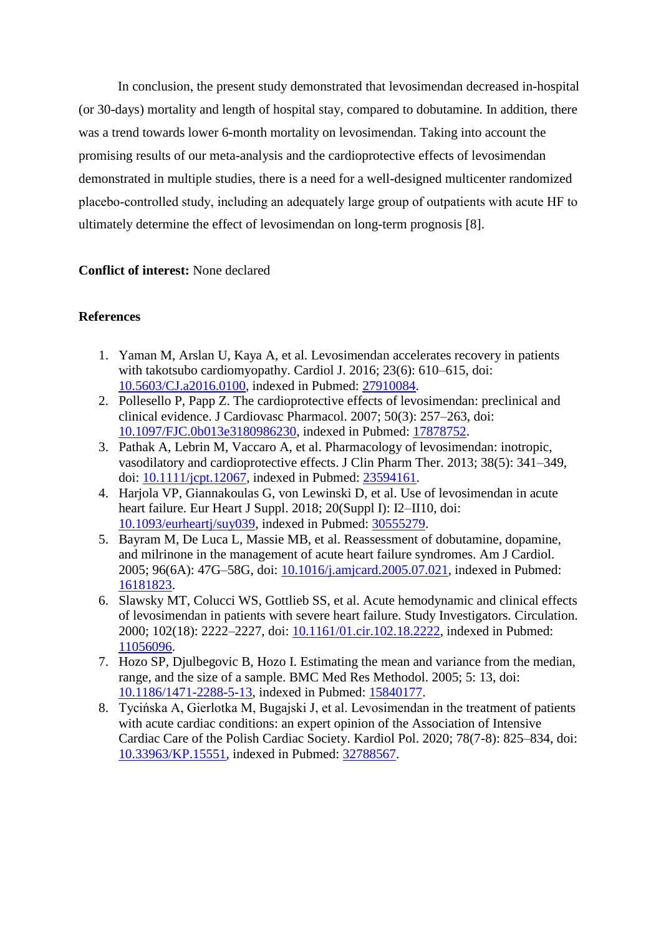In conclusion, the present study demonstrated that levosimendan decreased in-hospital (or 30-days) mortality and length of hospital stay, compared to dobutamine. In addition, there was a trend towards lower 6-month mortality on levosimendan. Taking into account the promising results of our meta-analysis and the cardioprotective effects of levosimendan demonstrated in multiple studies, there is a need for a well-designed multicenter randomized placebo-controlled study, including an adequately large group of outpatients with acute HF to ultimately determine the effect of levosimendan on long-term prognosis [8].

## **Conflict of interest:** None declared

## **References**

- 1. Yaman M, Arslan U, Kaya A, et al. Levosimendan accelerates recovery in patients with takotsubo cardiomyopathy. Cardiol J. 2016; 23(6): 610–615, doi: [10.5603/CJ.a2016.0100,](http://dx.doi.org/10.5603/CJ.a2016.0100) indexed in Pubmed: [27910084.](https://www.ncbi.nlm.nih.gov/pubmed/27910084)
- 2. Pollesello P, Papp Z. The cardioprotective effects of levosimendan: preclinical and clinical evidence. J Cardiovasc Pharmacol. 2007; 50(3): 257–263, doi: [10.1097/FJC.0b013e3180986230,](http://dx.doi.org/10.1097/FJC.0b013e3180986230) indexed in Pubmed: [17878752.](https://www.ncbi.nlm.nih.gov/pubmed/17878752)
- 3. Pathak A, Lebrin M, Vaccaro A, et al. Pharmacology of levosimendan: inotropic, vasodilatory and cardioprotective effects. J Clin Pharm Ther. 2013; 38(5): 341–349, doi: [10.1111/jcpt.12067,](http://dx.doi.org/10.1111/jcpt.12067) indexed in Pubmed: [23594161.](https://www.ncbi.nlm.nih.gov/pubmed/23594161)
- 4. Harjola VP, Giannakoulas G, von Lewinski D, et al. Use of levosimendan in acute heart failure. Eur Heart J Suppl. 2018; 20(Suppl I): I2–II10, doi: [10.1093/eurheartj/suy039,](http://dx.doi.org/10.1093/eurheartj/suy039) indexed in Pubmed: [30555279.](https://www.ncbi.nlm.nih.gov/pubmed/30555279)
- 5. Bayram M, De Luca L, Massie MB, et al. Reassessment of dobutamine, dopamine, and milrinone in the management of acute heart failure syndromes. Am J Cardiol. 2005; 96(6A): 47G–58G, doi: [10.1016/j.amjcard.2005.07.021,](http://dx.doi.org/10.1016/j.amjcard.2005.07.021) indexed in Pubmed: [16181823.](https://www.ncbi.nlm.nih.gov/pubmed/16181823)
- 6. Slawsky MT, Colucci WS, Gottlieb SS, et al. Acute hemodynamic and clinical effects of levosimendan in patients with severe heart failure. Study Investigators. Circulation. 2000; 102(18): 2222–2227, doi: [10.1161/01.cir.102.18.2222,](http://dx.doi.org/10.1161/01.cir.102.18.2222) indexed in Pubmed: [11056096.](https://www.ncbi.nlm.nih.gov/pubmed/11056096)
- 7. Hozo SP, Djulbegovic B, Hozo I. Estimating the mean and variance from the median, range, and the size of a sample. BMC Med Res Methodol. 2005; 5: 13, doi: [10.1186/1471-2288-5-13,](http://dx.doi.org/10.1186/1471-2288-5-13) indexed in Pubmed: [15840177.](https://www.ncbi.nlm.nih.gov/pubmed/15840177)
- 8. Tycińska A, Gierlotka M, Bugajski J, et al. Levosimendan in the treatment of patients with acute cardiac conditions: an expert opinion of the Association of Intensive Cardiac Care of the Polish Cardiac Society. Kardiol Pol. 2020; 78(7-8): 825–834, doi: [10.33963/KP.15551,](http://dx.doi.org/10.33963/KP.15551) indexed in Pubmed: [32788567.](https://www.ncbi.nlm.nih.gov/pubmed/32788567)